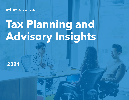**INTUIT Accountants** 

# **Tax Planning and Advisory Insights**

1

**2021**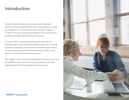### Introduction

Tax planning and advisory services are an important extension of tax compliance services. The avalanche of new tax legislation over the past five years and the impact of COVID-19 on firms and clients heighten the importance of proactive tax planning and advisory services.

In August, 2021, Intuit Accountants commissioned an industry-wide survey of 786 tax professionals, who currently provide tax planning services or are considering providing tax planning services in the next two years, to learn more about tax planning and advisory services.

The insights in this report are educational in nature, and may be helpful to benchmark planning and advisory services against peers in the tax professional community.



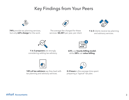# Key Findings from Your Peers



**74%** provide tax planning services, but only **62% charge** for the work.



The average fee charged for these services: **\$2,351** per year, per client



**1 in 3** clients receive tax planning and advisory services.



**1 in 3 preparers** are strongly considering adding tax advisory.



**63%** use **hourly billing model**, while **28%** use **value billing**.



**18% of tax advisors** say they lead with tax planning and advisory services.

2.3 hours is the average time spent preparing a "typical" tax plan.

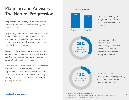# Planning and Advisory: The Natural Progression

Tax planning and advisory are a natural growth from tax preparation services for tax-only and multi-service firms.

Tax planning includes tax projections to estimate future liabilities, incorporating assumptions, ensure compliance and help mitigate surprises over the following year. Tax planning services are typically done once a year.

Tax advisory includes proactive, personalized tax strategies to minimize taxes and quantify savings, over the short and long term, with ongoing consultation throughout the year.

Firms who say they provide tax planning services but do not receive income, may have an opportunity to separate advisory services from compliance to better communicate tax-saving strategies and showcase the value of their tax advisory expertise.

### **INTUIT Accountants**

#### **Missed Revenue**



1 in 6 firms say they are not getting paid for the tax planning services they provide. (1)



Firms that currently do not provide tax planning and advisory services are strongly considering adding them as part of their growth plans.(2)

**18%** are leading with advisory

Almost 1 in 5 advisory firms message proactive tax planning and tax-saving strategies as their primary service.<sup>(3)</sup>

(1) Response from tax professionals (n=923)

(2) Response from tax professionals not currently providing tax planning services (n=616)

(3) Response from tax advisors and tax planners (n=683)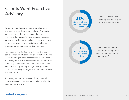# Clients Want Proactive Advisory

Tax advisors say business owners are ideal for tax advisory because there are a plethora of tax-saving strategies available, owners value planning, and they're used to paying for expert services. Advisors say current business owner clients already trust their compliance advice and almost always welcome proactive tax planning and advisory services.

High-net-worth individuals and those with more complex financial situations are also great candidates for tax planning and advisory services. Clients often incorrectly believe that transactional tax preparers are optimizing their tax situation. With education, most welcome the opportunity to align their goals with proactive tax-saving strategies that help them achieve financial success.

A growing number of firms are adding financial planning services or partnering with financial advisors as part of tax advisory.



Firms that provide tax planning and advisory, do so for 1 in every 3 clients. (4)



The top 27% of advisory firms are delivering these services to more than half their clients. (4)

### **INTUIT Accountants**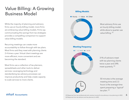## Value Billing: A Growing Business Model

While the majority of planning and advisory firms use an hourly-billing model, more firms are embracing value-billing models. Firms say communicating the savings from tax strategies provides a compelling comparison to support value billing models.

Recurring meetings can create more accountability to follow through with tax plans. Most firms said they meet with planning clients 2-4 times a year. Virtual client meetings are more efficient, more convenient and are becoming the standard.

Most firms use a collection of tax planners, spreadsheets and other tools to deliver services. Leveraging technology and standardizing tax advisory processes can improve productivity and help create capacity to scale services to more clients.

#### **Billing Models**



Most advisory firms use an hourly billing model, while about a quarter use value billing. (5)

#### **Meeting Frequency**



31% of advisors meet with tax planning clients twice a year and 24% meet quarterly. (6)



50 minutes is the average meeting time and 2.3 hours is the average time spent preparing a "typical" tax plan. (6)

#### (5) Response from tax professionals who receive income for tax advisory or tax planning (n=582)  $\overline{6}$ (6) Response from tax advisors and tax planners (n=683)

### **INTUIT Accountants**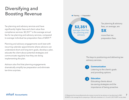# Diversifying and Boosting Revenue

Tax planning and advisory services and have significantly higher fees and client value than compliance services.  $$2,351^{(7)}$  is the average annual fee for tax planning and advisory services, compared to average individual tax preparation fees of \$459.(8)

Planning and advisory engagements work best with recurring calendar appointments where advisors can understand short and long term goals, develop a plan, educate the client about potential strategies and communicate regularly how they are doing implementing the plan.

Advisors also find that planning engagements dramatically simplify tax preparation and eliminate tax-time surprises.



Tax planning & advisory fees, on average, are **5X**

more than tax preparation fees.

The keys to positioning and delivering tax advisory services.



#### **Communication**

Listening to the client's goals and providing options.



#### **Education**

Educating clients about tax-saving strategies and the importance of being proactive.

### **INTUIT** Accountants

(7) Response from tax professionals who receive income for tax advisory or tax planning (n=582)  $\overline{7}$ (8) \$459 is the average fee for preparing a 1040 with schedules A, C, D, and E. (2019 NATP survey data)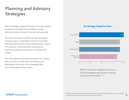# Planning and Advisory **Strategies**

The tax strategy categories most commonly used by tax advisors include income shifting, credits, retirement plans, timing of income and expenses.

The most commonly cited tax-savings strategies include using S- corporation entities to minimize self-employment taxes, bonus depreciation, section 179 expense, retirement plan contributions, paycheck protection plan loans, and certain tax credits.

The more advisors focus their practice on a certain type of client or niche, the more they tend to standardize the group of tax strategies they commonly apply to their clients.

#### **Tax Strategy Categories Used**



80% of tax advisors regularly use income shifting strategies with clients, including business entity analysis. (9)

### **INTUIT** Accountants

8